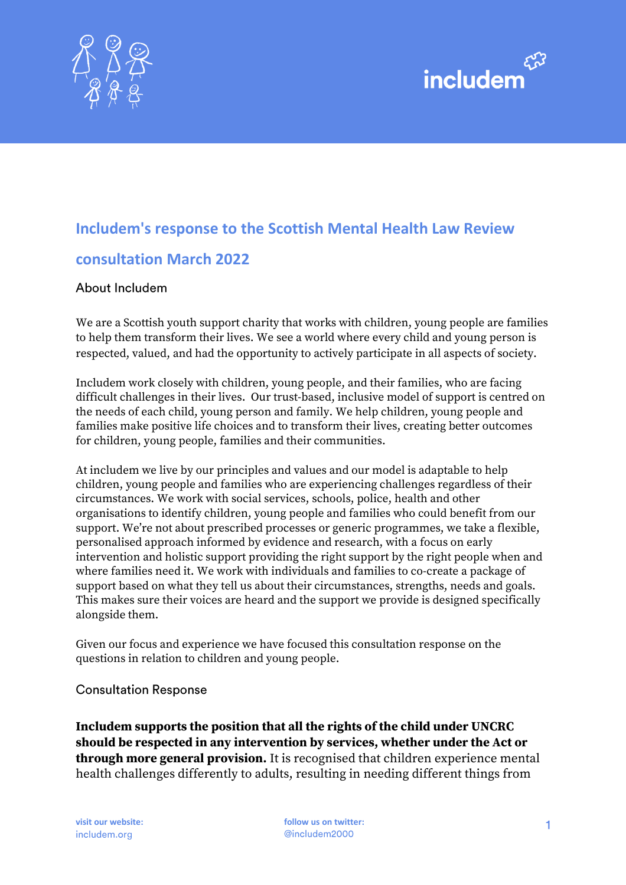



# **Includem's response to the Scottish Mental Health Law Review consultation March 2022**

#### About Includem

We are a Scottish youth support charity that works with children, young people are families to help them transform their lives. We see a world where every child and young person is respected, valued, and had the opportunity to actively participate in all aspects of society.

Includem work closely with children, young people, and their families, who are facing difficult challenges in their lives. Our trust-based, inclusive model of support is centred on the needs of each child, young person and family. We help children, young people and families make positive life choices and to transform their lives, creating better outcomes for children, young people, families and their communities.

At includem we live by our principles and values and our model is adaptable to help children, young people and families who are experiencing challenges regardless of their circumstances. We work with social services, schools, police, health and other organisations to identify children, young people and families who could benefit from our support. We're not about prescribed processes or generic programmes, we take a flexible, personalised approach informed by evidence and research, with a focus on early intervention and holistic support providing the right support by the right people when and where families need it. We work with individuals and families to co-create a package of support based on what they tell us about their circumstances, strengths, needs and goals. This makes sure their voices are heard and the support we provide is designed specifically alongside them.

Given our focus and experience we have focused this consultation response on the questions in relation to children and young people.

#### **Consultation Response**

**Includem supports the position that all the rights of the child under UNCRC should be respected in any intervention by services, whether under the Act or through more general provision.** It is recognised that children experience mental health challenges differently to adults, resulting in needing different things from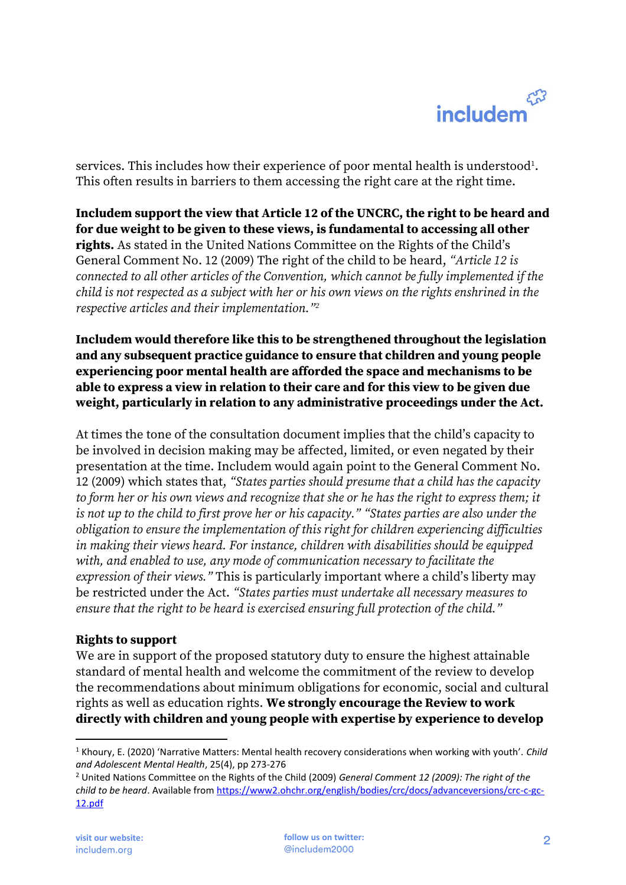services. This includes how their experience of poor mental health is understood $^{\rm 1}.$ This often results in barriers to them accessing the right care at the right time.

**Includem support the view that Article 12 of the UNCRC, the right to be heard and for due weight to be given to these views, is fundamental to accessing all other rights.** As stated in the United Nations Committee on the Rights of the Child's General Comment No. 12 (2009) The right of the child to be heard, *"Article 12 is connected to all other articles of the Convention, which cannot be fully implemented if the child is not respected as a subject with her or his own views on the rights enshrined in the respective articles and their implementation."<sup>2</sup>*

**Includem would therefore like this to be strengthened throughout the legislation and any subsequent practice guidance to ensure that children and young people experiencing poor mental health are afforded the space and mechanisms to be able to express a view in relation to their care and for this view to be given due weight, particularly in relation to any administrative proceedings under the Act.** 

At times the tone of the consultation document implies that the child's capacity to be involved in decision making may be affected, limited, or even negated by their presentation at the time. Includem would again point to the General Comment No. 12 (2009) which states that, *"States parties should presume that a child has the capacity to form her or his own views and recognize that she or he has the right to express them; it is not up to the child to first prove her or his capacity." "States parties are also under the obligation to ensure the implementation of this right for children experiencing difficulties in making their views heard. For instance, children with disabilities should be equipped with, and enabled to use, any mode of communication necessary to facilitate the expression of their views."* This is particularly important where a child's liberty may be restricted under the Act. *"States parties must undertake all necessary measures to ensure that the right to be heard is exercised ensuring full protection of the child."*

#### **Rights to support**

We are in support of the proposed statutory duty to ensure the highest attainable standard of mental health and welcome the commitment of the review to develop the recommendations about minimum obligations for economic, social and cultural rights as well as education rights. **We strongly encourage the Review to work directly with children and young people with expertise by experience to develop** 

<sup>1</sup> Khoury, E. (2020) 'Narrative Matters: Mental health recovery considerations when working with youth'. *Child and Adolescent Mental Health*, 25(4), pp 273-276

<sup>2</sup> United Nations Committee on the Rights of the Child (2009) *General Comment 12 (2009): The right of the child to be heard*. Available from [https://www2.ohchr.org/english/bodies/crc/docs/advanceversions/crc-c-gc-](https://www2.ohchr.org/english/bodies/crc/docs/advanceversions/crc-c-gc-12.pdf)[12.pdf](https://www2.ohchr.org/english/bodies/crc/docs/advanceversions/crc-c-gc-12.pdf)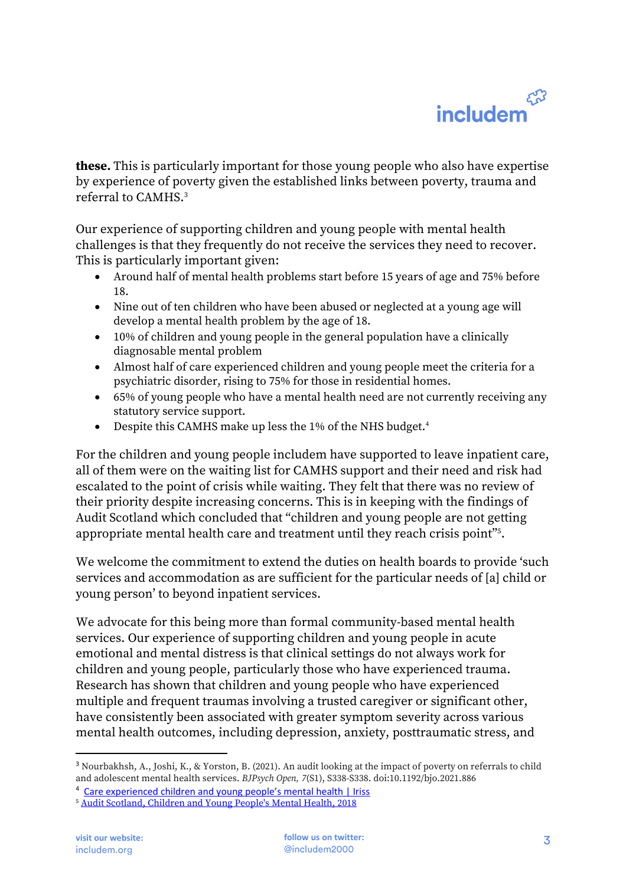**these.** This is particularly important for those young people who also have expertise by experience of poverty given the established links between poverty, trauma and referral to CAMHS.<sup>3</sup>

Our experience of supporting children and young people with mental health challenges is that they frequently do not receive the services they need to recover. This is particularly important given:

- Around half of mental health problems start before 15 years of age and 75% before 18.
- Nine out of ten children who have been abused or neglected at a young age will develop a mental health problem by the age of 18.
- 10% of children and young people in the general population have a clinically diagnosable mental problem
- Almost half of care experienced children and young people meet the criteria for a psychiatric disorder, rising to 75% for those in residential homes.
- 65% of young people who have a mental health need are not currently receiving any statutory service support.
- Despite this CAMHS make up less the 1% of the NHS budget.<sup>4</sup>

For the children and young people includem have supported to leave inpatient care, all of them were on the waiting list for CAMHS support and their need and risk had escalated to the point of crisis while waiting. They felt that there was no review of their priority despite increasing concerns. This is in keeping with the findings of Audit Scotland which concluded that "children and young people are not getting appropriate mental health care and treatment until they reach crisis point"<sup>5</sup> .

We welcome the commitment to extend the duties on health boards to provide 'such services and accommodation as are sufficient for the particular needs of [a] child or young person' to beyond inpatient services.

We advocate for this being more than formal community-based mental health services. Our experience of supporting children and young people in acute emotional and mental distress is that clinical settings do not always work for children and young people, particularly those who have experienced trauma. Research has shown that children and young people who have experienced multiple and frequent traumas involving a trusted caregiver or significant other, have consistently been associated with greater symptom severity across various mental health outcomes, including depression, anxiety, posttraumatic stress, and

<sup>3</sup> Nourbakhsh, A., Joshi, K., & Yorston, B. (2021). An audit looking at the impact of poverty on referrals to child and adolescent mental health services. *BJPsych Open, 7*(S1), S338-S338. doi:10.1192/bjo.2021.886

<sup>&</sup>lt;sup>4</sup> [Care experienced children and young people's mental health | Iriss](https://www.iriss.org.uk/resources/esss-outlines/care-experienced-children-and-young-peoples-mental-health)

<sup>5</sup> [Audit Scotland, Children and Young People's Mental Health, 2018](https://www.audit-scotland.gov.uk/uploads/docs/report/2018/nr_180913_mental_health.pdf)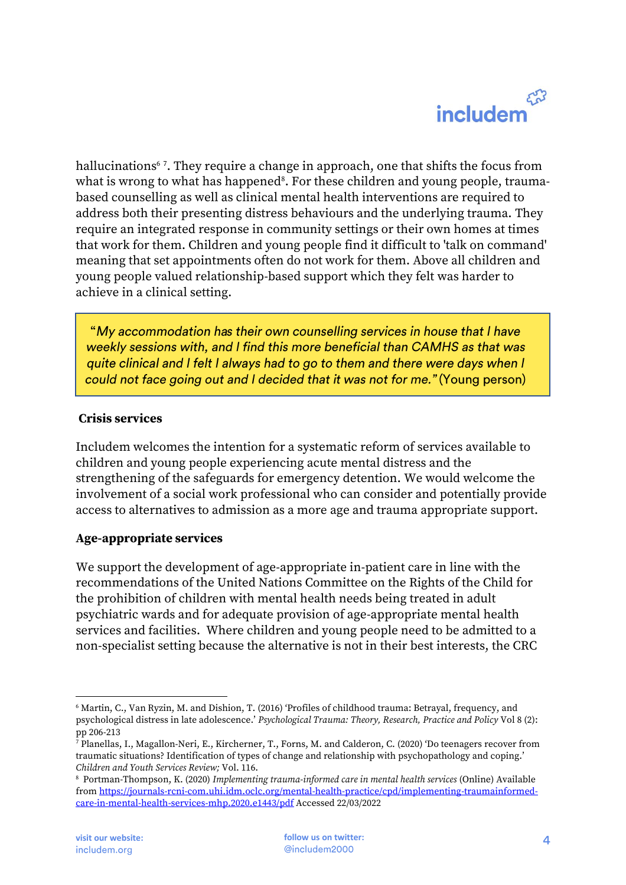# $\mathcal{E}_{\alpha}^{\alpha}$ includem

hallucinations<sup>6</sup> <sup>7</sup> . They require a change in approach, one that shifts the focus from what is wrong to what has happened $^{\rm s}$ . For these children and young people, traumabased counselling as well as clinical mental health interventions are required to address both their presenting distress behaviours and the underlying trauma. They require an integrated response in community settings or their own homes at times that work for them. Children and young people find it difficult to 'talk on command' meaning that set appointments often do not work for them. Above all children and young people valued relationship-based support which they felt was harder to achieve in a clinical setting.

"My accommodation has their own counselling services in house that I have weekly sessions with, and I find this more beneficial than CAMHS as that was quite clinical and I felt I always had to go to them and there were days when I could not face going out and I decided that it was not for me." (Young person)

### **Crisis services**

Includem welcomes the intention for a systematic reform of services available to children and young people experiencing acute mental distress and the strengthening of the safeguards for emergency detention. We would welcome the involvement of a social work professional who can consider and potentially provide access to alternatives to admission as a more age and trauma appropriate support.

### **Age-appropriate services**

We support the development of age-appropriate in-patient care in line with the recommendations of the United Nations Committee on the Rights of the Child for the prohibition of children with mental health needs being treated in adult psychiatric wards and for adequate provision of age-appropriate mental health services and facilities. Where children and young people need to be admitted to a non-specialist setting because the alternative is not in their best interests, the CRC

<sup>6</sup> Martin, C., Van Ryzin, M. and Dishion, T. (2016) 'Profiles of childhood trauma: Betrayal, frequency, and psychological distress in late adolescence.' *Psychological Trauma: Theory, Research, Practice and Policy* Vol 8 (2): pp 206-213

<sup>7</sup> Planellas, I., Magallon-Neri, E., Kircherner, T., Forns, M. and Calderon, C. (2020) 'Do teenagers recover from traumatic situations? Identification of types of change and relationship with psychopathology and coping.' *Children and Youth Services Review;* Vol. 116.

<sup>8</sup> Portman-Thompson, K. (2020) *Implementing trauma-informed care in mental health services* (Online) Available fro[m https://journals-rcni-com.uhi.idm.oclc.org/mental-health-practice/cpd/implementing-traumainformed](https://journals-rcni-com.uhi.idm.oclc.org/mental-health-practice/cpd/implementing-traumainformed-care-in-mental-health-services-mhp.2020.e1443/pdf)[care-in-mental-health-services-mhp.2020.e1443/pdf](https://journals-rcni-com.uhi.idm.oclc.org/mental-health-practice/cpd/implementing-traumainformed-care-in-mental-health-services-mhp.2020.e1443/pdf) Accessed 22/03/2022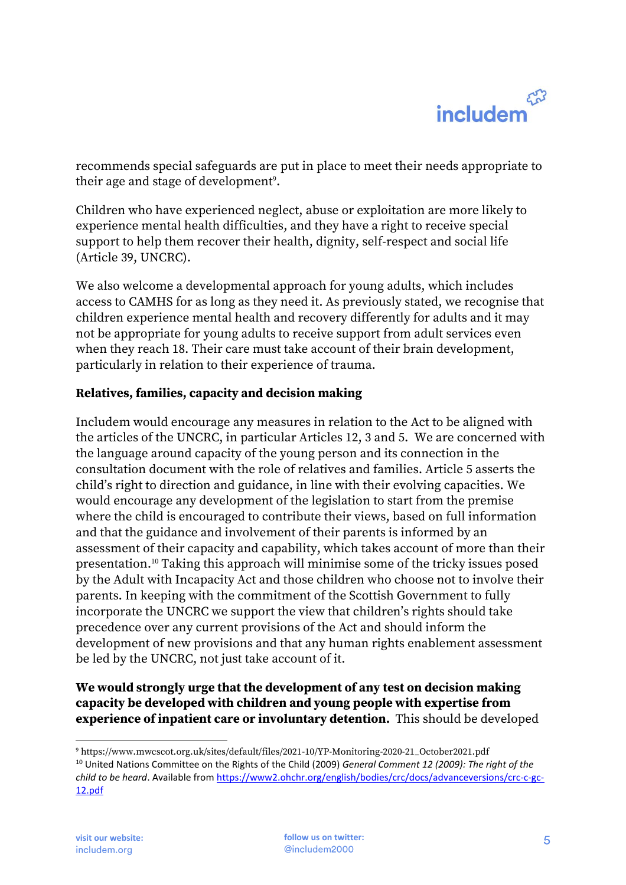recommends special safeguards are put in place to meet their needs appropriate to their age and stage of development $^{\circ}$ .

Children who have experienced neglect, abuse or exploitation are more likely to experience mental health difficulties, and they have a right to receive special support to help them recover their health, dignity, self-respect and social life (Article 39, UNCRC).

We also welcome a developmental approach for young adults, which includes access to CAMHS for as long as they need it. As previously stated, we recognise that children experience mental health and recovery differently for adults and it may not be appropriate for young adults to receive support from adult services even when they reach 18. Their care must take account of their brain development, particularly in relation to their experience of trauma.

### **Relatives, families, capacity and decision making**

Includem would encourage any measures in relation to the Act to be aligned with the articles of the UNCRC, in particular Articles 12, 3 and 5. We are concerned with the language around capacity of the young person and its connection in the consultation document with the role of relatives and families. Article 5 asserts the child's right to direction and guidance, in line with their evolving capacities. We would encourage any development of the legislation to start from the premise where the child is encouraged to contribute their views, based on full information and that the guidance and involvement of their parents is informed by an assessment of their capacity and capability, which takes account of more than their presentation.<sup>10</sup> Taking this approach will minimise some of the tricky issues posed by the Adult with Incapacity Act and those children who choose not to involve their parents. In keeping with the commitment of the Scottish Government to fully incorporate the UNCRC we support the view that children's rights should take precedence over any current provisions of the Act and should inform the development of new provisions and that any human rights enablement assessment be led by the UNCRC, not just take account of it.

**We would strongly urge that the development of any test on decision making capacity be developed with children and young people with expertise from experience of inpatient care or involuntary detention.** This should be developed

<sup>9</sup> https://www.mwcscot.org.uk/sites/default/files/2021-10/YP-Monitoring-2020-21\_October2021.pdf

<sup>10</sup> United Nations Committee on the Rights of the Child (2009) *General Comment 12 (2009): The right of the child to be heard*. Available from [https://www2.ohchr.org/english/bodies/crc/docs/advanceversions/crc-c-gc-](https://www2.ohchr.org/english/bodies/crc/docs/advanceversions/crc-c-gc-12.pdf)[12.pdf](https://www2.ohchr.org/english/bodies/crc/docs/advanceversions/crc-c-gc-12.pdf)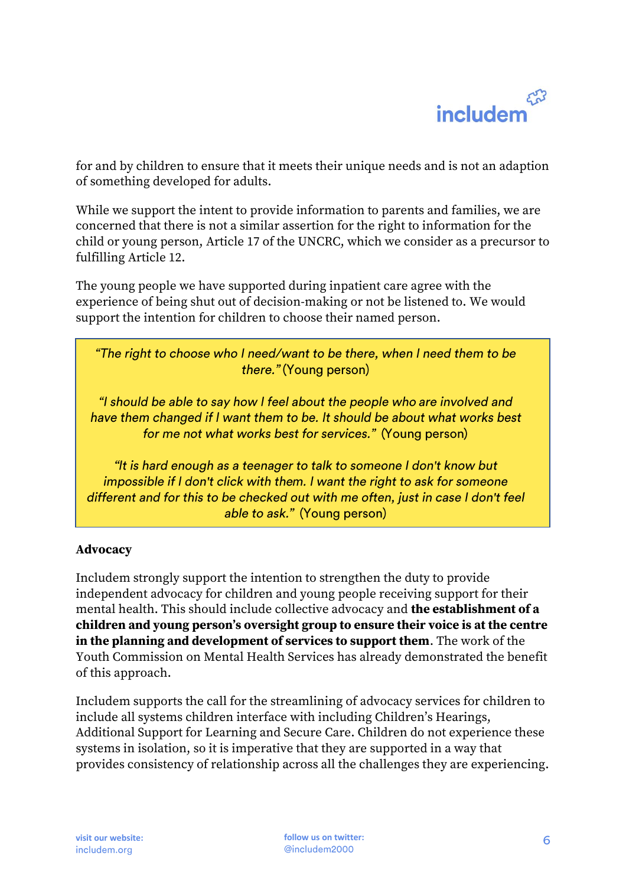# لمربح includen

for and by children to ensure that it meets their unique needs and is not an adaption of something developed for adults.

While we support the intent to provide information to parents and families, we are concerned that there is not a similar assertion for the right to information for the child or young person, Article 17 of the UNCRC, which we consider as a precursor to fulfilling Article 12.

The young people we have supported during inpatient care agree with the experience of being shut out of decision-making or not be listened to. We would support the intention for children to choose their named person.

"The right to choose who I need/want to be there, when I need them to be there." (Young person)

"I should be able to say how I feel about the people who are involved and have them changed if I want them to be. It should be about what works best for me not what works best for services." (Young person)

"It is hard enough as a teenager to talk to someone I don't know but impossible if I don't click with them. I want the right to ask for someone different and for this to be checked out with me often, just in case I don't feel able to ask." (Young person)

### **Advocacy**

Includem strongly support the intention to strengthen the duty to provide independent advocacy for children and young people receiving support for their mental health. This should include collective advocacy and **the establishment of a children and young person's oversight group to ensure their voice is at the centre in the planning and development of services to support them**. The work of the Youth Commission on Mental Health Services has already demonstrated the benefit of this approach.

Includem supports the call for the streamlining of advocacy services for children to include all systems children interface with including Children's Hearings, Additional Support for Learning and Secure Care. Children do not experience these systems in isolation, so it is imperative that they are supported in a way that provides consistency of relationship across all the challenges they are experiencing.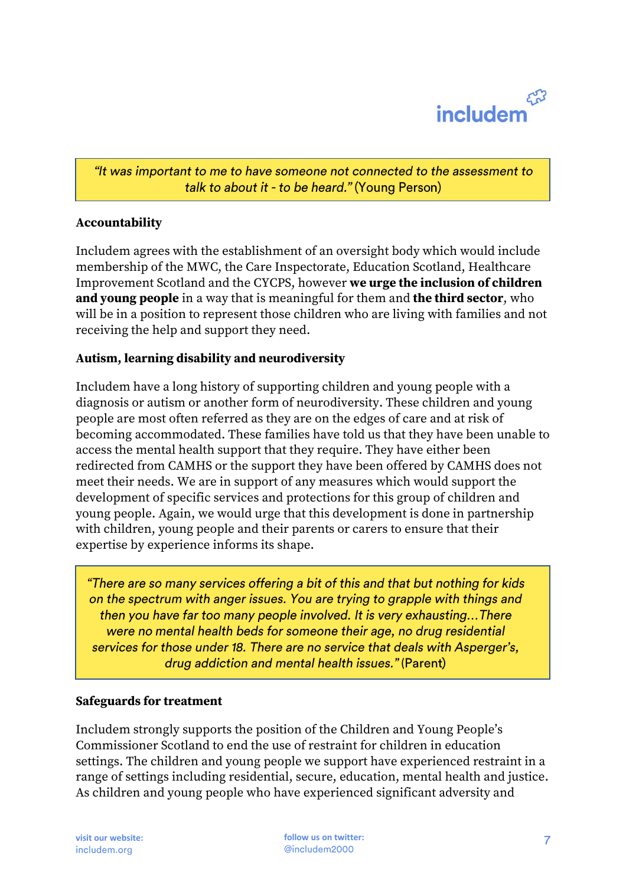

"It was important to me to have someone not connected to the assessment to talk to about it - to be heard." (Young Person)

#### **Accountability**

Includem agrees with the establishment of an oversight body which would include membership of the MWC, the Care Inspectorate, Education Scotland, Healthcare Improvement Scotland and the CYCPS, however **we urge the inclusion of children and young people** in a way that is meaningful for them and **the third sector**, who will be in a position to represent those children who are living with families and not receiving the help and support they need.

#### **Autism, learning disability and neurodiversity**

Includem have a long history of supporting children and young people with a diagnosis or autism or another form of neurodiversity. These children and young people are most often referred as they are on the edges of care and at risk of becoming accommodated. These families have told us that they have been unable to access the mental health support that they require. They have either been redirected from CAMHS or the support they have been offered by CAMHS does not meet their needs. We are in support of any measures which would support the development of specific services and protections for this group of children and young people. Again, we would urge that this development is done in partnership with children, young people and their parents or carers to ensure that their expertise by experience informs its shape.

"There are so many services offering a bit of this and that but nothing for kids on the spectrum with anger issues. You are trying to grapple with things and then you have far too many people involved. It is very exhausting...There were no mental health beds for someone their age, no drug residential services for those under 18. There are no service that deals with Asperger's, drug addiction and mental health issues." (Parent)

#### **Safeguards for treatment**

Includem strongly supports the position of the Children and Young People's Commissioner Scotland to end the use of restraint for children in education settings. The children and young people we support have experienced restraint in a range of settings including residential, secure, education, mental health and justice. As children and young people who have experienced significant adversity and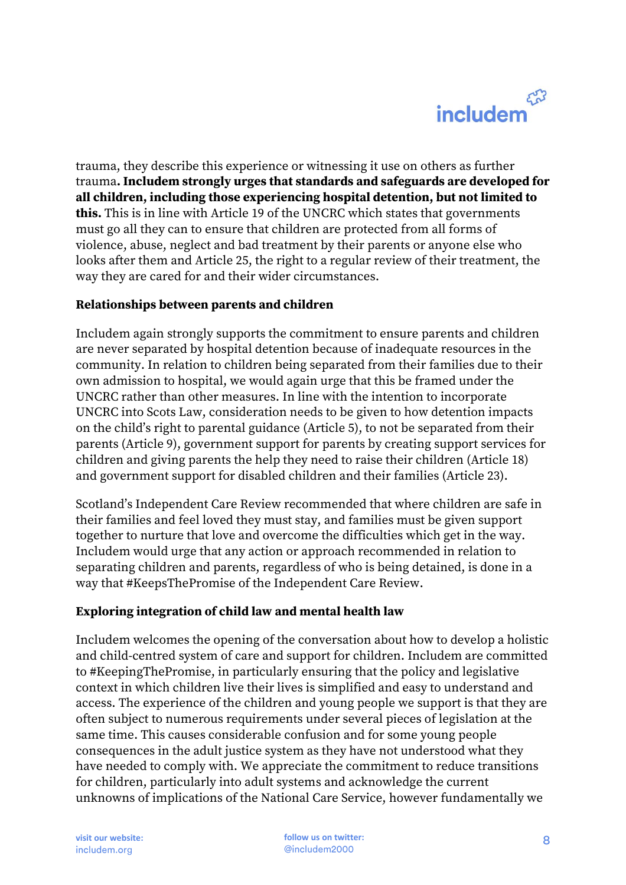trauma, they describe this experience or witnessing it use on others as further trauma**. Includem strongly urges that standards and safeguards are developed for all children, including those experiencing hospital detention, but not limited to this.** This is in line with Article 19 of the UNCRC which states that governments must go all they can to ensure that children are protected from all forms of violence, abuse, neglect and bad treatment by their parents or anyone else who looks after them and Article 25, the right to a regular review of their treatment, the way they are cared for and their wider circumstances.

### **Relationships between parents and children**

Includem again strongly supports the commitment to ensure parents and children are never separated by hospital detention because of inadequate resources in the community. In relation to children being separated from their families due to their own admission to hospital, we would again urge that this be framed under the UNCRC rather than other measures. In line with the intention to incorporate UNCRC into Scots Law, consideration needs to be given to how detention impacts on the child's right to parental guidance (Article 5), to not be separated from their parents (Article 9), government support for parents by creating support services for children and giving parents the help they need to raise their children (Article 18) and government support for disabled children and their families (Article 23).

Scotland's Independent Care Review recommended that where children are safe in their families and feel loved they must stay, and families must be given support together to nurture that love and overcome the difficulties which get in the way. Includem would urge that any action or approach recommended in relation to separating children and parents, regardless of who is being detained, is done in a way that #KeepsThePromise of the Independent Care Review.

### **Exploring integration of child law and mental health law**

Includem welcomes the opening of the conversation about how to develop a holistic and child-centred system of care and support for children. Includem are committed to #KeepingThePromise, in particularly ensuring that the policy and legislative context in which children live their lives is simplified and easy to understand and access. The experience of the children and young people we support is that they are often subject to numerous requirements under several pieces of legislation at the same time. This causes considerable confusion and for some young people consequences in the adult justice system as they have not understood what they have needed to comply with. We appreciate the commitment to reduce transitions for children, particularly into adult systems and acknowledge the current unknowns of implications of the National Care Service, however fundamentally we

**visit our website: follow us on twitter:** @includem2000